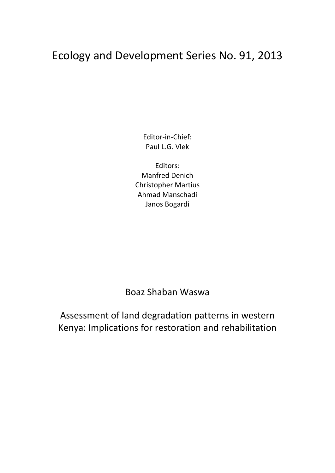## Ecology and Development Series No. 91, 2013

Editor‐in‐Chief: Paul L.G. Vlek

Editors: Manfred Denich Christopher Martius Ahmad Manschadi Janos Bogardi

Boaz Shaban Waswa

Assessment of land degradation patterns in western Kenya: Implications for restoration and rehabilitation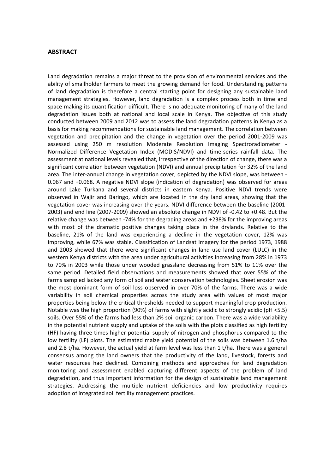## **ABSTRACT**

Land degradation remains a major threat to the provision of environmental services and the ability of smallholder farmers to meet the growing demand for food. Understanding patterns of land degradation is therefore a central starting point for designing any sustainable land management strategies. However, land degradation is a complex process both in time and space making its quantification difficult. There is no adequate monitoring of many of the land degradation issues both at national and local scale in Kenya. The objective of this study conducted between 2009 and 2012 was to assess the land degradation patterns in Kenya as a basis for making recommendations for sustainable land management. The correlation between vegetation and precipitation and the change in vegetation over the period 2001‐2009 was assessed using 250 m resolution Moderate Resolution Imaging Spectroradiometer ‐ Normalized Difference Vegetation Index (MODIS/NDVI) and time‐series rainfall data. The assessment at national levels revealed that, irrespective of the direction of change, there was a significant correlation between vegetation (NDVI) and annual precipitation for 32% of the land area. The inter-annual change in vegetation cover, depicted by the NDVI slope, was between -0.067 and +0.068. A negative NDVI slope (indication of degradation) was observed for areas around Lake Turkana and several districts in eastern Kenya. Positive NDVI trends were observed in Wajir and Baringo, which are located in the dry land areas, showing that the vegetation cover was increasing over the years. NDVI difference between the baseline (2001‐ 2003) and end line (2007‐2009) showed an absolute change in NDVI of ‐0.42 to +0.48. But the relative change was between ‐74% for the degrading areas and +238% for the improving areas with most of the dramatic positive changes taking place in the drylands. Relative to the baseline, 21% of the land was experiencing a decline in the vegetation cover, 12% was improving, while 67% was stable. Classification of Landsat imagery for the period 1973, 1988 and 2003 showed that there were significant changes in land use land cover (LULC) in the western Kenya districts with the area under agricultural activities increasing from 28% in 1973 to 70% in 2003 while those under wooded grassland decreasing from 51% to 11% over the same period. Detailed field observations and measurements showed that over 55% of the farms sampled lacked any form of soil and water conservation technologies. Sheet erosion was the most dominant form of soil loss observed in over 70% of the farms. There was a wide variability in soil chemical properties across the study area with values of most major properties being below the critical thresholds needed to support meaningful crop production. Notable was the high proportion (90%) of farms with slightly acidic to strongly acidic (pH <5.5) soils. Over 55% of the farms had less than 2% soil organic carbon. There was a wide variability in the potential nutrient supply and uptake of the soils with the plots classified as high fertility (HF) having three times higher potential supply of nitrogen and phosphorus compared to the low fertility (LF) plots. The estimated maize yield potential of the soils was between 1.6 t/ha and 2.8 t/ha. However, the actual yield at farm level was less than 1 t/ha. There was a general consensus among the land owners that the productivity of the land, livestock, forests and water resources had declined. Combining methods and approaches for land degradation monitoring and assessment enabled capturing different aspects of the problem of land degradation, and thus important information for the design of sustainable land management strategies. Addressing the multiple nutrient deficiencies and low productivity requires adoption of integrated soil fertility management practices.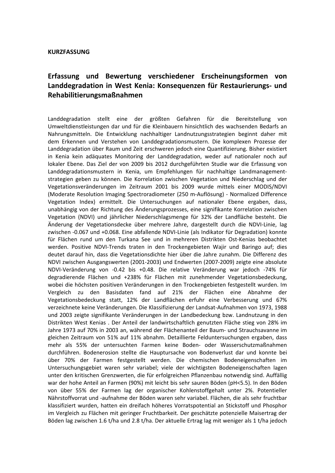## **KURZFASSUNG**

## **Erfassung und Bewertung verschiedener Erscheinungsformen von Landdegradation in West Kenia: Konsequenzen für Restaurierungs‐ und Rehabilitierungsmaßnahmen**

Landdegradation stellt eine der größten Gefahren für die Bereitstellung von Umweltdienstleistungen dar und für die Kleinbauern hinsichtlich des wachsenden Bedarfs an Nahrungsmitteln. Die Entwicklung nachhaltiger Landnutzungsstrategien beginnt daher mit dem Erkennen und Verstehen von Landdegradationsmustern. Die komplexen Prozesse der Landdegradation über Raum und Zeit erschweren jedoch eine Quantifizierung. Bisher existiert in Kenia kein adäquates Monitoring der Landdegradation, weder auf nationaler noch auf lokaler Ebene. Das Ziel der von 2009 bis 2012 durchgeführten Studie war die Erfassung von Landdegradationsmustern in Kenia, um Empfehlungen für nachhaltige Landmanagement‐ strategien geben zu können. Die Korrelation zwischen Vegetation und Niederschlag und der Vegetationsveränderungen im Zeitraum 2001 bis 2009 wurde mittels einer MODIS/NDVI (Moderate Resolution Imaging Spectroradiometer (250 m‐Auflösung) ‐ Normalized Difference Vegetation Index) ermittelt. Die Untersuchungen auf nationaler Ebene ergaben, dass, unabhängig von der Richtung des Änderungsprozesses, eine signifikante Korrelation zwischen Vegetation (NDVI) und jährlicher Niederschlagsmenge für 32% der Landfläche besteht. Die Änderung der Vegetationsdecke über mehrere Jahre, dargestellt durch die NDVI‐Linie, lag zwischen ‐0.067 und +0.068. Eine abfallende NDVI‐Linie (als Indikator für Degradation) konnte für Flächen rund um den Turkana See und in mehreren Distrikten Ost‐Kenias beobachtet werden. Positive NDVI‐Trends traten in den Trockengebieten Wajir und Baringo auf; dies deutet darauf hin, dass die Vegetationsdichte hier über die Jahre zunahm. Die Differenz des NDVI zwischen Ausgangswerten (2001‐2003) und Endwerten (2007‐2009) zeigte eine absolute NDVI‐Veränderung von ‐0.42 bis +0.48. Die relative Veränderung war jedoch ‐74% für degradierende Flächen und +238% für Flächen mit zunehmender Vegetationsbedeckung, wobei die höchsten positiven Veränderungen in den Trockengebieten festgestellt wurden. Im Vergleich zu den Basisdaten fand auf 21% der Flächen eine Abnahme der Vegetationsbedeckung statt, 12% der Landflächen erfuhr eine Verbesserung und 67% verzeichnete keine Veränderungen. Die Klassifizierung der Landsat‐Aufnahmen von 1973, 1988 und 2003 zeigte signifikante Veränderungen in der Landbedeckung bzw. Landnutzung in den Distrikten West Kenias . Der Anteil der landwirtschaftlich genutzten Fläche stieg von 28% im Jahre 1973 auf 70% in 2003 an, während der Flächenanteil der Baum‐ und Strauchsavanne im gleichen Zeitraum von 51% auf 11% abnahm. Detaillierte Felduntersuchungen ergaben, dass mehr als 55% der untersuchten Farmen keine Boden‐ oder Wasserschutzmaßnahmen durchführen. Bodenerosion stellte die Hauptursache von Bodenverlust dar und konnte bei über 70% der Farmen festgestellt werden. Die chemischen Bodeneigenschaften im Untersuchungsgebiet waren sehr variabel; viele der wichtigsten Bodeneigenschaften lagen unter den kritischen Grenzwerten, die für erfolgreichen Pflanzenbau notwendig sind. Auffällig war der hohe Anteil an Farmen (90%) mit leicht bis sehr sauren Böden (pH<5.5). In den Böden von über 55% der Farmen lag der organischer Kohlenstoffgehalt unter 2%. Potentieller Nährstoffvorrat und ‐aufnahme der Böden waren sehr variabel. Flächen, die als sehr fruchtbar klassifiziert wurden, hatten ein dreifach höheres Vorratspotential an Stickstoff und Phosphor im Vergleich zu Flächen mit geringer Fruchtbarkeit. Der geschätzte potenzielle Maisertrag der Böden lag zwischen 1.6 t/ha und 2.8 t/ha. Der aktuelle Ertrag lag mit weniger als 1 t/ha jedoch